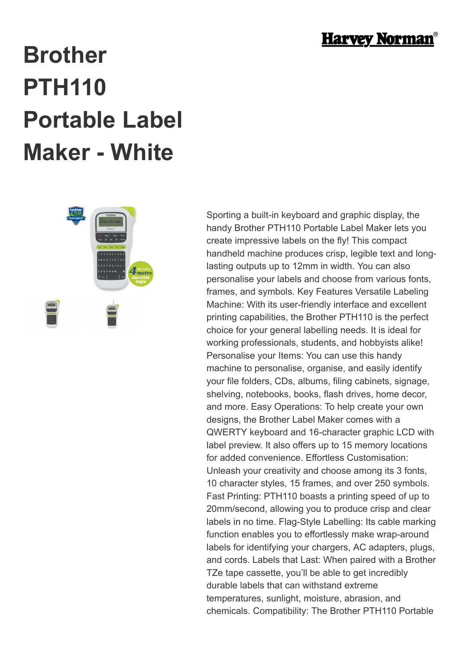

## **Brother PTH110 Portable Label Maker - White**



Sporting a built-in keyboard and graphic display, the handy Brother PTH110 Portable Label Maker lets you create impressive labels on the fly! This compact handheld machine produces crisp, legible text and longlasting outputs up to 12mm in width. You can also personalise your labels and choose from various fonts, frames, and symbols. Key Features Versatile Labeling Machine: With its user-friendly interface and excellent printing capabilities, the Brother PTH110 is the perfect choice for your general labelling needs. It is ideal for working professionals, students, and hobbyists alike! Personalise your Items: You can use this handy machine to personalise, organise, and easily identify your file folders, CDs, albums, filing cabinets, signage, shelving, notebooks, books, flash drives, home decor, and more. Easy Operations: To help create your own designs, the Brother Label Maker comes with a QWERTY keyboard and 16-character graphic LCD with label preview. It also offers up to 15 memory locations for added convenience. Effortless Customisation: Unleash your creativity and choose among its 3 fonts, 10 character styles, 15 frames, and over 250 symbols. Fast Printing: PTH110 boasts a printing speed of up to 20mm/second, allowing you to produce crisp and clear labels in no time. Flag-Style Labelling: Its cable marking function enables you to effortlessly make wrap-around labels for identifying your chargers, AC adapters, plugs, and cords. Labels that Last: When paired with a Brother TZe tape cassette, you'll be able to get incredibly durable labels that can withstand extreme temperatures, sunlight, moisture, abrasion, and chemicals. Compatibility: The Brother PTH110 Portable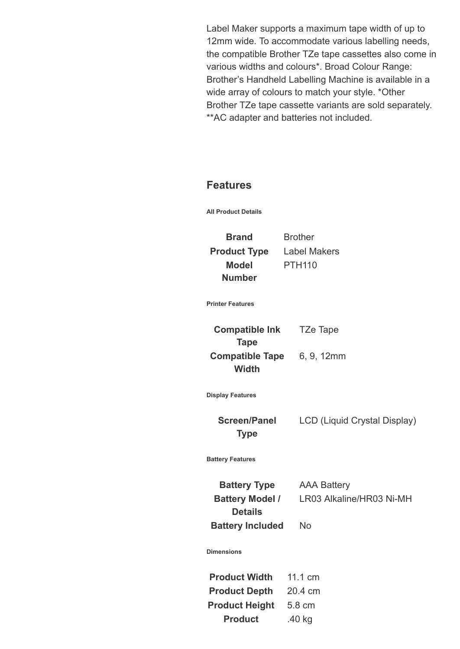Label Maker supports a maximum tape width of up to 12mm wide. To accommodate various labelling needs, the compatible Brother TZe tape cassettes also come in various widths and colours\*. Broad Colour Range: Brother's Handheld Labelling Machine is available in a wide array of colours to match your style. \*Other Brother TZe tape cassette variants are sold separately. \*\*AC adapter and batteries not included.

## **Features**

**All Product Details**

**Brand** Brother **Product Type** Label Makers **Model Number** PTH110

**Printer Features**

| <b>Compatible Ink</b>  | <b>TZe Tape</b> |
|------------------------|-----------------|
| <b>Tape</b>            |                 |
| <b>Compatible Tape</b> | 6, 9, 12mm      |
| <b>Width</b>           |                 |

**Display Features**

**Screen/Panel Type**

LCD (Liquid Crystal Display)

**Battery Features**

**Battery Type** AAA Battery **Battery Model / Details Battery Included** No

LR03 Alkaline/HR03 Ni-MH

**Dimensions**

| <b>Product Width</b>  | 11.1 cm |
|-----------------------|---------|
| <b>Product Depth</b>  | 20.4 cm |
| <b>Product Height</b> | 5.8 cm  |
| <b>Product</b>        | .40 kg  |